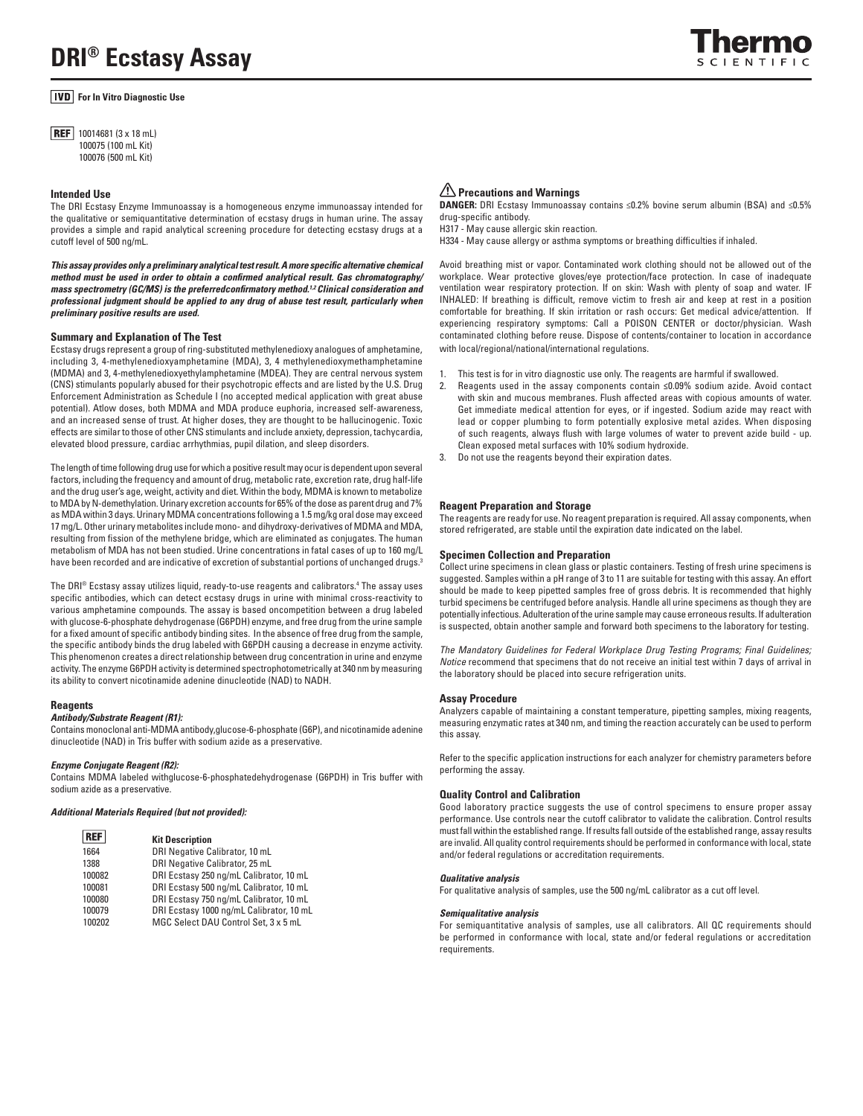# **For In Vitro Diagnostic Use**

**REF** 10014681 (3 x 18 mL) 100075 (100 mL Kit) 100076 (500 mL Kit)

# **Intended Use**

The DRI Ecstasy Enzyme Immunoassay is a homogeneous enzyme immunoassay intended for the qualitative or semiquantitative determination of ecstasy drugs in human urine. The assay provides a simple and rapid analytical screening procedure for detecting ecstasy drugs at a cutoff level of 500 ng/mL.

*This assay provides only a preliminary analytical test result. A more specific alternative chemical method must be used in order to obtain a confirmed analytical result. Gas chromatography/ mass spectrometry (GC/MS) is the preferredconfirmatory method.1,2 Clinical consideration and professional judgment should be applied to any drug of abuse test result, particularly when preliminary positive results are used.*

## **Summary and Explanation of The Test**

Ecstasy drugs represent a group of ring-substituted methylenedioxy analogues of amphetamine, including 3, 4-methylenedioxyamphetamine (MDA), 3, 4 methylenedioxymethamphetamine (MDMA) and 3, 4-methylenedioxyethylamphetamine (MDEA). They are central nervous system (CNS) stimulants popularly abused for their psychotropic effects and are listed by the U.S. Drug Enforcement Administration as Schedule I (no accepted medical application with great abuse potential). Atlow doses, both MDMA and MDA produce euphoria, increased self-awareness, and an increased sense of trust. At higher doses, they are thought to be hallucinogenic. Toxic effects are similar to those of other CNS stimulants and include anxiety, depression, tachycardia, elevated blood pressure, cardiac arrhythmias, pupil dilation, and sleep disorders.

The length of time following drug use for which a positive result may ocur is dependent upon several factors, including the frequency and amount of drug, metabolic rate, excretion rate, drug half-life and the drug user's age, weight, activity and diet. Within the body, MDMA is known to metabolize to MDA by N-demethylation. Urinary excretion accounts for 65% of the dose as parent drug and 7% as MDA within 3 days. Urinary MDMA concentrations following a 1.5 mg/kg oral dose may exceed 17 mg/L. Other urinary metabolites include mono- and dihydroxy-derivatives of MDMA and MDA, resulting from fission of the methylene bridge, which are eliminated as conjugates. The human metabolism of MDA has not been studied. Urine concentrations in fatal cases of up to 160 mg/L have been recorded and are indicative of excretion of substantial portions of unchanged drugs.<sup>3</sup>

The DRI® Ecstasy assay utilizes liquid, ready-to-use reagents and calibrators. $^4$  The assay uses specific antibodies, which can detect ecstasy drugs in urine with minimal cross-reactivity to various amphetamine compounds. The assay is based oncompetition between a drug labeled with glucose-6-phosphate dehydrogenase (G6PDH) enzyme, and free drug from the urine sample for a fixed amount of specific antibody binding sites. In the absence of free drug from the sample, the specific antibody binds the drug labeled with G6PDH causing a decrease in enzyme activity. This phenomenon creates a direct relationship between drug concentration in urine and enzyme activity. The enzyme G6PDH activity is determined spectrophotometrically at 340 nm by measuring its ability to convert nicotinamide adenine dinucleotide (NAD) to NADH.

### **Reagents**

# *Antibody/Substrate Reagent (R1):*

Contains monoclonal anti-MDMA antibody,glucose-6-phosphate (G6P), and nicotinamide adenine dinucleotide (NAD) in Tris buffer with sodium azide as a preservative.

#### *Enzyme Conjugate Reagent (R2):*

Contains MDMA labeled withglucose-6-phosphatedehydrogenase (G6PDH) in Tris buffer with sodium azide as a preservative.

### *Additional Materials Required (but not provided):*

| <b>REF</b> | <b>Kit Description</b>                   |
|------------|------------------------------------------|
| 1664       | DRI Negative Calibrator, 10 mL           |
| 1388       | DRI Negative Calibrator, 25 mL           |
| 100082     | DRI Ecstasy 250 ng/mL Calibrator, 10 mL  |
| 100081     | DRI Ecstasy 500 ng/mL Calibrator, 10 mL  |
| 100080     | DRI Ecstasy 750 ng/mL Calibrator, 10 mL  |
| 100079     | DRI Ecstasy 1000 ng/mL Calibrator, 10 mL |
| 100202     | MGC Select DAU Control Set, 3 x 5 mL     |

# **Precautions and Warnings**

**DANGER:** DRI Ecstasy Immunoassay contains ≤0.2% bovine serum albumin (BSA) and ≤0.5% drug-specific antibody.

H317 - May cause allergic skin reaction.

H334 - May cause allergy or asthma symptoms or breathing difficulties if inhaled.

Avoid breathing mist or vapor. Contaminated work clothing should not be allowed out of the workplace. Wear protective gloves/eye protection/face protection. In case of inadequate ventilation wear respiratory protection. If on skin: Wash with plenty of soap and water. IF INHALED: If breathing is difficult, remove victim to fresh air and keep at rest in a position comfortable for breathing. If skin irritation or rash occurs: Get medical advice/attention. If experiencing respiratory symptoms: Call a POISON CENTER or doctor/physician. Wash contaminated clothing before reuse. Dispose of contents/container to location in accordance with local/regional/national/international regulations.

- This test is for in vitro diagnostic use only. The reagents are harmful if swallowed.
- 2. Reagents used in the assay components contain **≤**0.09% sodium azide. Avoid contact with skin and mucous membranes. Flush affected areas with copious amounts of water. Get immediate medical attention for eyes, or if ingested. Sodium azide may react with lead or copper plumbing to form potentially explosive metal azides. When disposing of such reagents, always flush with large volumes of water to prevent azide build - up. Clean exposed metal surfaces with 10% sodium hydroxide.
- 3. Do not use the reagents beyond their expiration dates.

## **Reagent Preparation and Storage**

The reagents are ready for use. No reagent preparation is required. All assay components, when stored refrigerated, are stable until the expiration date indicated on the label.

## **Specimen Collection and Preparation**

Collect urine specimens in clean glass or plastic containers. Testing of fresh urine specimens is suggested. Samples within a pH range of 3 to 11 are suitable for testing with this assay. An effort should be made to keep pipetted samples free of gross debris. It is recommended that highly turbid specimens be centrifuged before analysis. Handle all urine specimens as though they are potentially infectious. Adulteration of the urine sample may cause erroneous results. If adulteration is suspected, obtain another sample and forward both specimens to the laboratory for testing.

*The Mandatory Guidelines for Federal Workplace Drug Testing Programs; Final Guidelines; Notice* recommend that specimens that do not receive an initial test within 7 days of arrival in the laboratory should be placed into secure refrigeration units.

#### **Assay Procedure**

Analyzers capable of maintaining a constant temperature, pipetting samples, mixing reagents, measuring enzymatic rates at 340 nm, and timing the reaction accurately can be used to perform this assay.

Refer to the specific application instructions for each analyzer for chemistry parameters before performing the assay.

#### **Quality Control and Calibration**

Good laboratory practice suggests the use of control specimens to ensure proper assay performance. Use controls near the cutoff calibrator to validate the calibration. Control results must fall within the established range. If results fall outside of the established range, assay results are invalid. All quality control requirements should be performed in conformance with local, state and/or federal regulations or accreditation requirements.

#### *Qualitative analysis*

For qualitative analysis of samples, use the 500 ng/mL calibrator as a cut off level.

#### *Semiqualitative analysis*

For semiquantitative analysis of samples, use all calibrators. All QC requirements should be performed in conformance with local, state and/or federal regulations or accreditation requirements.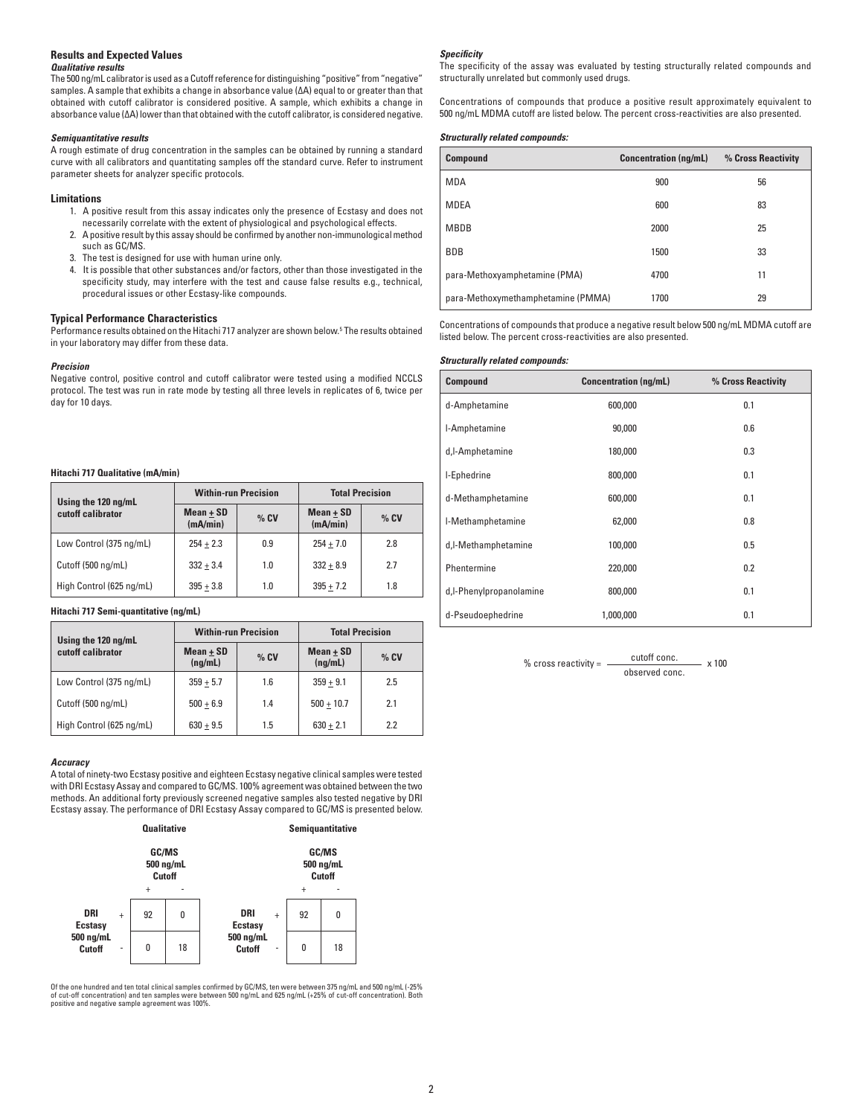# **Results and Expected Values**

# *Qualitative results*

The 500 ng/mL calibrator is used as a Cutoff reference for distinguishing "positive" from "negative" samples. A sample that exhibits a change in absorbance value (∆A) equal to or greater than that obtained with cutoff calibrator is considered positive. A sample, which exhibits a change in absorbance value (∆A) lower than that obtained with the cutoff calibrator, is considered negative.

## *Semiquantitative results*

A rough estimate of drug concentration in the samples can be obtained by running a standard curve with all calibrators and quantitating samples off the standard curve. Refer to instrument parameter sheets for analyzer specific protocols.

### **Limitations**

- 1. A positive result from this assay indicates only the presence of Ecstasy and does not necessarily correlate with the extent of physiological and psychological effects.
- 2. A positive result by this assay should be confirmed by another non-immunological method such as GC/MS.
- 3. The test is designed for use with human urine only.
- 4. It is possible that other substances and/or factors, other than those investigated in the specificity study, may interfere with the test and cause false results e.g., technical, procedural issues or other Ecstasy-like compounds.

# **Typical Performance Characteristics**

Performance results obtained on the Hitachi 717 analyzer are shown below.5 The results obtained in your laboratory may differ from these data.

#### *Precision*

Negative control, positive control and cutoff calibrator were tested using a modified NCCLS protocol. The test was run in rate mode by testing all three levels in replicates of 6, twice per day for 10 days.

# **Hitachi 717 Qualitative (mA/min)**

| Using the 120 ng/mL      | <b>Within-run Precision</b> |        | <b>Total Precision</b>  |        |
|--------------------------|-----------------------------|--------|-------------------------|--------|
| cutoff calibrator        | $Mean + SD$<br>(mA/min)     | $%$ CV | $Mean + SD$<br>(mA/min) | $%$ CV |
| Low Control (375 ng/mL)  | $254 + 2.3$                 | 0.9    | $254 + 7.0$             | 2.8    |
| Cutoff (500 ng/mL)       | $332 + 3.4$                 | 1.0    | $332 + 8.9$             | 2.7    |
| High Control (625 ng/mL) | $395 + 3.8$                 | 1.0    | $395 + 7.2$             | 1.8    |

# **Hitachi 717 Semi-quantitative (ng/mL)**

| Using the 120 ng/mL      | <b>Within-run Precision</b> |        | <b>Total Precision</b> |        |
|--------------------------|-----------------------------|--------|------------------------|--------|
| cutoff calibrator        | $Mean + SD$<br>(nq/mL)      | $%$ CV | $Mean + SD$<br>(nq/mL) | $%$ CV |
| Low Control (375 ng/mL)  | $359 + 5.7$                 | 1.6    | $359 + 9.1$            | 2.5    |
| Cutoff (500 ng/mL)       | $500 + 6.9$                 | 1.4    | $500 + 10.7$           | 2.1    |
| High Control (625 ng/mL) | $630 + 9.5$                 | 1.5    | $630 + 2.1$            | 2.2    |

### *Accuracy*

A total of ninety-two Ecstasy positive and eighteen Ecstasy negative clinical samples were tested with DRI Ecstasy Assay and compared to GC/MS. 100% agreement was obtained between the two methods. An additional forty previously screened negative samples also tested negative by DRI Ecstasy assay. The performance of DRI Ecstasy Assay compared to GC/MS is presented below.



Of the one hundred and ten total clinical samples confirmed by GC/MS, ten were between 375 ng/mL and 500 ng/mL (-25% of cut-off concentration) and ten samples were between 500 ng/mL and 625 ng/mL (+25% of cut-off concentration). Both positive and negative sample agreement was 100%.

### *Specificity*

The specificity of the assay was evaluated by testing structurally related compounds and structurally unrelated but commonly used drugs.

Concentrations of compounds that produce a positive result approximately equivalent to 500 ng/mL MDMA cutoff are listed below. The percent cross-reactivities are also presented.

### *Structurally related compounds:*

| <b>Compound</b>                    | <b>Concentration (ng/mL)</b> | % Cross Reactivity |
|------------------------------------|------------------------------|--------------------|
| <b>MDA</b>                         | 900                          | 56                 |
| MDEA                               | 600                          | 83                 |
| <b>MBDB</b>                        | 2000                         | 25                 |
| <b>BDB</b>                         | 1500                         | 33                 |
| para-Methoxyamphetamine (PMA)      | 4700                         | 11                 |
| para-Methoxymethamphetamine (PMMA) | 1700                         | 29                 |

Concentrations of compounds that produce a negative result below 500 ng/mL MDMA cutoff are listed below. The percent cross-reactivities are also presented.

#### *Structurally related compounds:*

| Compound                | <b>Concentration (ng/mL)</b> | % Cross Reactivity |
|-------------------------|------------------------------|--------------------|
| d-Amphetamine           | 600,000                      | 0.1                |
| I-Amphetamine           | 90,000                       | 0.6                |
| d,l-Amphetamine         | 180,000                      | 0.3                |
| I-Ephedrine             | 800,000                      | 0.1                |
| d-Methamphetamine       | 600,000                      | 0.1                |
| I-Methamphetamine       | 62,000                       | 0.8                |
| d,l-Methamphetamine     | 100,000                      | 0.5                |
| Phentermine             | 220,000                      | 0.2                |
| d,I-Phenylpropanolamine | 800,000                      | 0.1                |
| d-Pseudoephedrine       | 1,000,000                    | 0.1                |

% cross reactivity =  $\frac{\text{cutoff cone.}}{\text{cutoff cone}}$  x 100 observed conc.